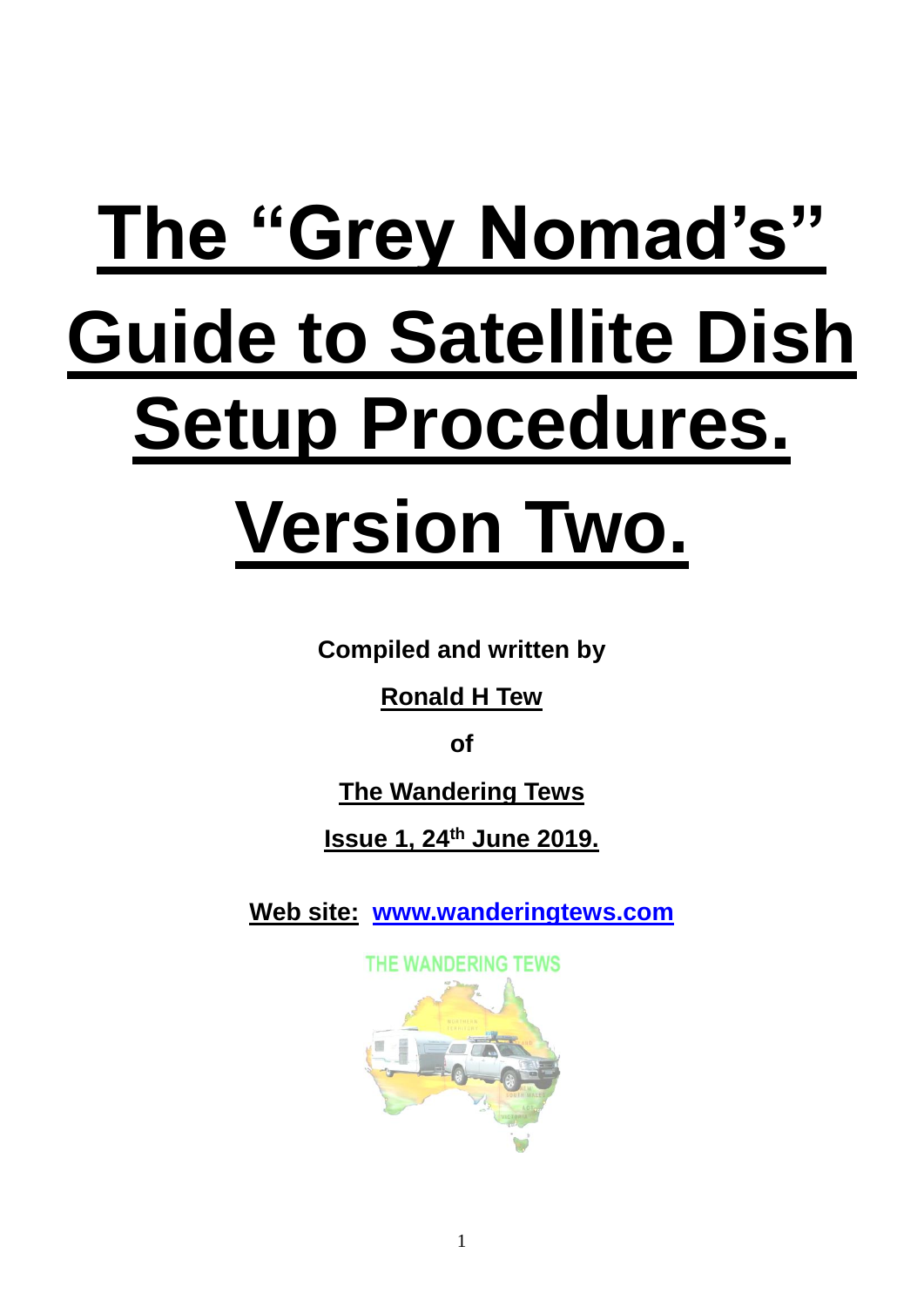# **The "Grey Nomad's" Guide to Satellite Dish Setup Procedures. Version Two.**

**Compiled and written by**

**Ronald H Tew**

**of**

**The Wandering Tews**

**Issue 1, 24th June 2019.**

**Web site: [www.wanderingtews.com](http://www.wanderingtews.com/)**

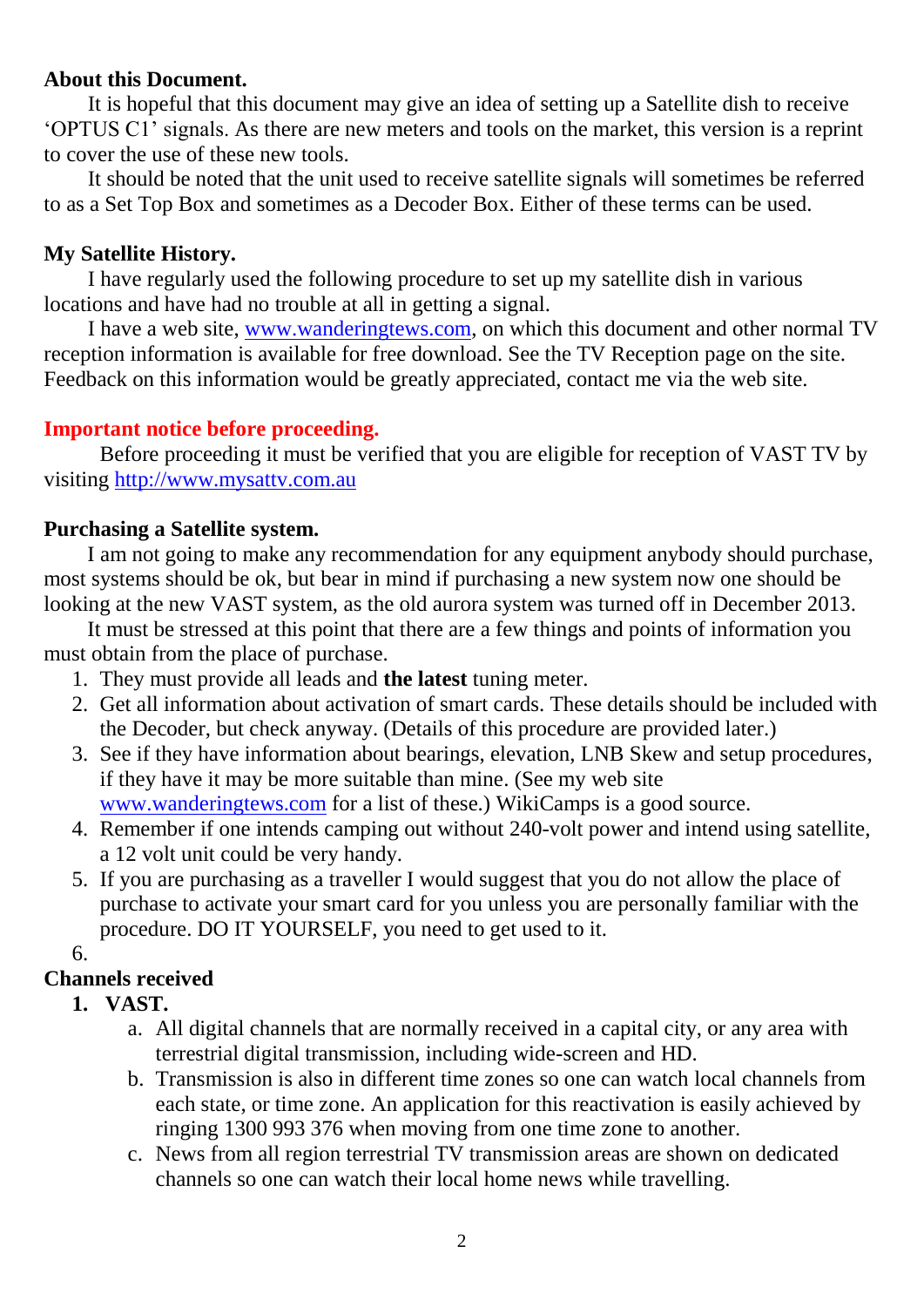# **About this Document.**

It is hopeful that this document may give an idea of setting up a Satellite dish to receive 'OPTUS C1' signals. As there are new meters and tools on the market, this version is a reprint to cover the use of these new tools.

It should be noted that the unit used to receive satellite signals will sometimes be referred to as a Set Top Box and sometimes as a Decoder Box. Either of these terms can be used.

# **My Satellite History.**

I have regularly used the following procedure to set up my satellite dish in various locations and have had no trouble at all in getting a signal.

I have a web site, [www.wanderingtews.com,](http://www.wanderingtews.com/) on which this document and other normal TV reception information is available for free download. See the TV Reception page on the site. Feedback on this information would be greatly appreciated, contact me via the web site.

# **Important notice before proceeding.**

Before proceeding it must be verified that you are eligible for reception of VAST TV by visiting [http://www.mysattv.com.au](http://www.mysattv.com.au/)

# **Purchasing a Satellite system.**

I am not going to make any recommendation for any equipment anybody should purchase, most systems should be ok, but bear in mind if purchasing a new system now one should be looking at the new VAST system, as the old aurora system was turned off in December 2013.

It must be stressed at this point that there are a few things and points of information you must obtain from the place of purchase.

- 1. They must provide all leads and **the latest** tuning meter.
- 2. Get all information about activation of smart cards. These details should be included with the Decoder, but check anyway. (Details of this procedure are provided later.)
- 3. See if they have information about bearings, elevation, LNB Skew and setup procedures, if they have it may be more suitable than mine. (See my web site [www.wanderingtews.com](http://www.wanderingtews.com/) for a list of these.) WikiCamps is a good source.
- 4. Remember if one intends camping out without 240-volt power and intend using satellite, a 12 volt unit could be very handy.
- 5. If you are purchasing as a traveller I would suggest that you do not allow the place of purchase to activate your smart card for you unless you are personally familiar with the procedure. DO IT YOURSELF, you need to get used to it.
- 6.

# **Channels received**

- **1. VAST.**
	- a. All digital channels that are normally received in a capital city, or any area with terrestrial digital transmission, including wide-screen and HD.
	- b. Transmission is also in different time zones so one can watch local channels from each state, or time zone. An application for this reactivation is easily achieved by ringing 1300 993 376 when moving from one time zone to another.
	- c. News from all region terrestrial TV transmission areas are shown on dedicated channels so one can watch their local home news while travelling.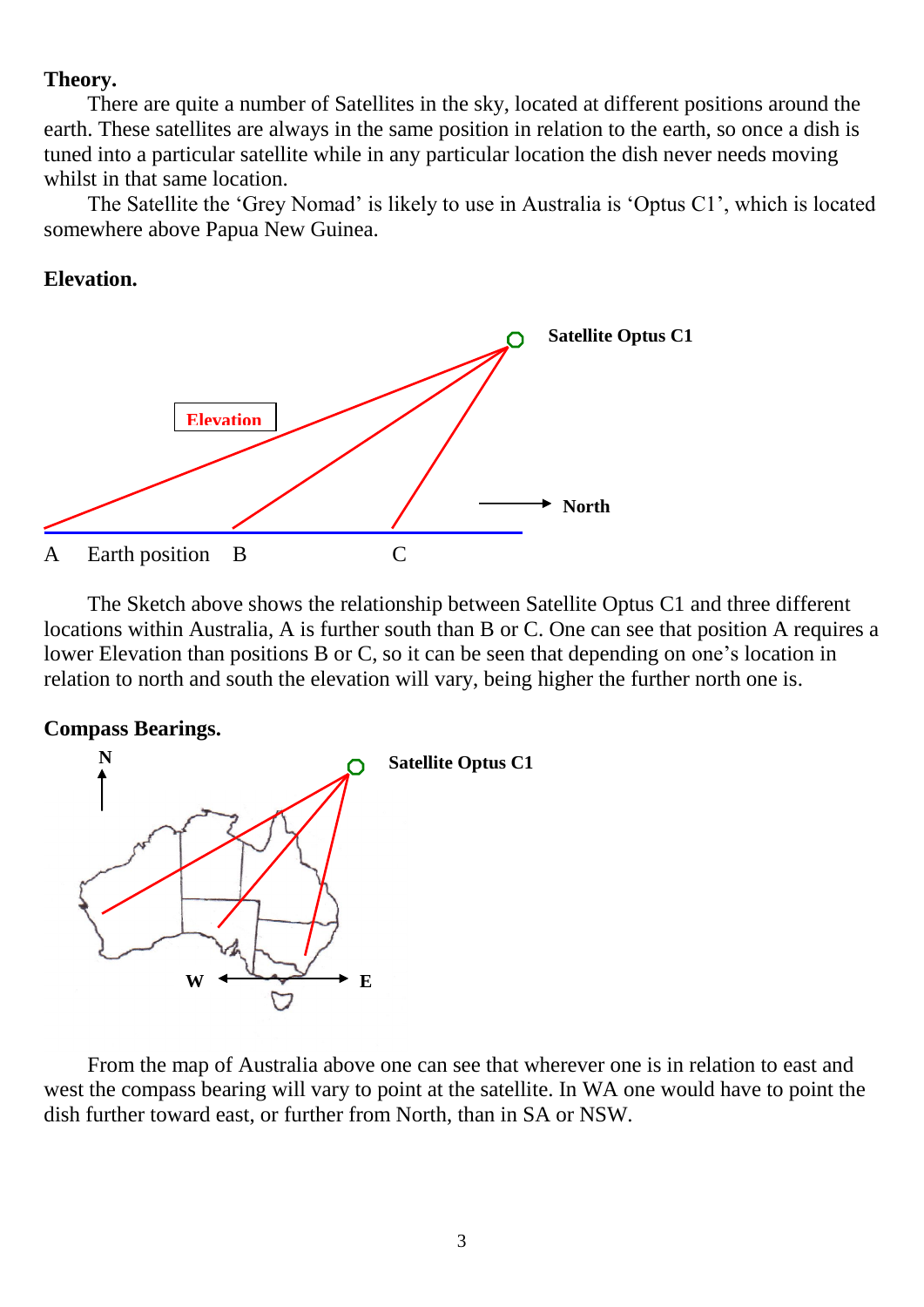### **Theory.**

There are quite a number of Satellites in the sky, located at different positions around the earth. These satellites are always in the same position in relation to the earth, so once a dish is tuned into a particular satellite while in any particular location the dish never needs moving whilst in that same location.

The Satellite the 'Grey Nomad' is likely to use in Australia is 'Optus C1', which is located somewhere above Papua New Guinea.

#### **Elevation.**



The Sketch above shows the relationship between Satellite Optus C1 and three different locations within Australia, A is further south than B or C. One can see that position A requires a lower Elevation than positions B or C, so it can be seen that depending on one's location in relation to north and south the elevation will vary, being higher the further north one is.

#### **Compass Bearings.**



From the map of Australia above one can see that wherever one is in relation to east and west the compass bearing will vary to point at the satellite. In WA one would have to point the dish further toward east, or further from North, than in SA or NSW.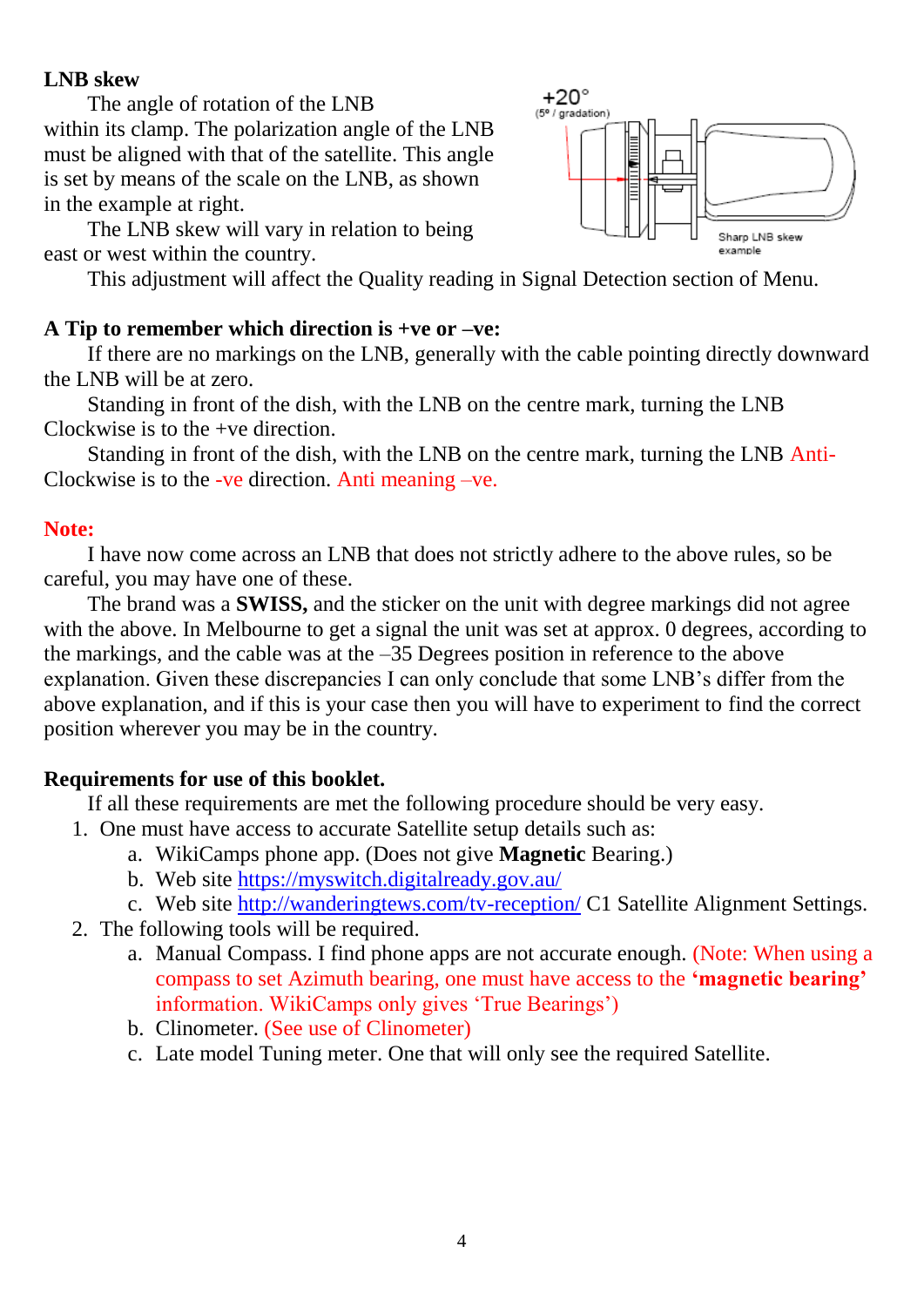# **LNB skew**

The angle of rotation of the LNB

within its clamp. The polarization angle of the LNB must be aligned with that of the satellite. This angle is set by means of the scale on the LNB, as shown in the example at right.

The LNB skew will vary in relation to being east or west within the country.

This adjustment will affect the Quality reading in Signal Detection section of Menu.

# **A Tip to remember which direction is +ve or –ve:**

If there are no markings on the LNB, generally with the cable pointing directly downward the LNB will be at zero.

Standing in front of the dish, with the LNB on the centre mark, turning the LNB Clockwise is to the +ve direction.

Standing in front of the dish, with the LNB on the centre mark, turning the LNB Anti-Clockwise is to the -ve direction. Anti meaning –ve.

# **Note:**

I have now come across an LNB that does not strictly adhere to the above rules, so be careful, you may have one of these.

The brand was a **SWISS,** and the sticker on the unit with degree markings did not agree with the above. In Melbourne to get a signal the unit was set at approx. 0 degrees, according to the markings, and the cable was at the –35 Degrees position in reference to the above explanation. Given these discrepancies I can only conclude that some LNB's differ from the above explanation, and if this is your case then you will have to experiment to find the correct position wherever you may be in the country.

# **Requirements for use of this booklet.**

If all these requirements are met the following procedure should be very easy.

- 1. One must have access to accurate Satellite setup details such as:
	- a. WikiCamps phone app. (Does not give **Magnetic** Bearing.)
	- b. Web site<https://myswitch.digitalready.gov.au/>
	- c. Web site <http://wanderingtews.com/tv-reception/> C1 Satellite Alignment Settings.
- 2. The following tools will be required.
	- a. Manual Compass. I find phone apps are not accurate enough. (Note: When using a compass to set Azimuth bearing, one must have access to the **'magnetic bearing'** information. WikiCamps only gives 'True Bearings')
	- b. Clinometer. (See use of Clinometer)
	- c. Late model Tuning meter. One that will only see the required Satellite.

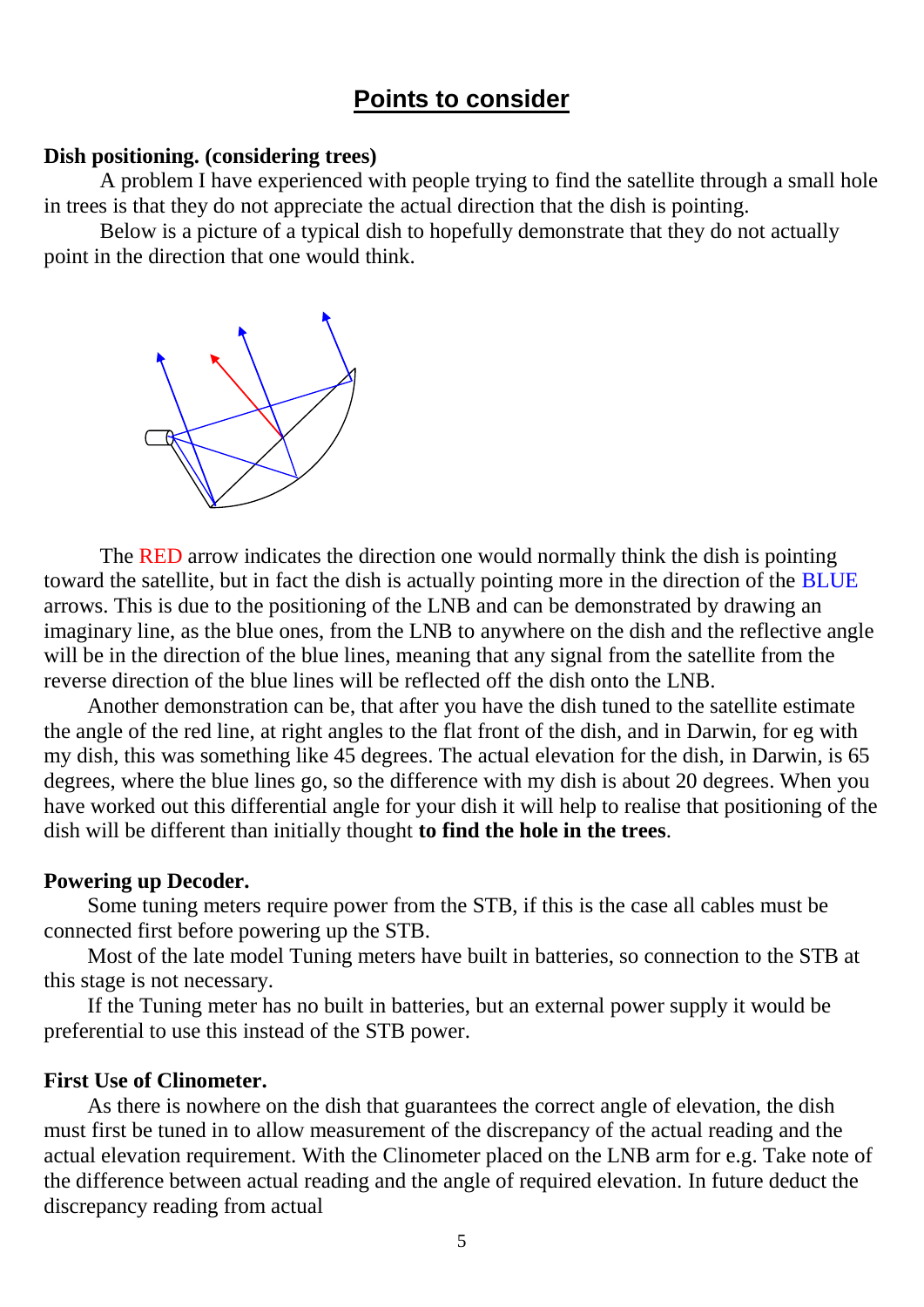# **Points to consider**

#### **Dish positioning. (considering trees)**

A problem I have experienced with people trying to find the satellite through a small hole in trees is that they do not appreciate the actual direction that the dish is pointing.

Below is a picture of a typical dish to hopefully demonstrate that they do not actually point in the direction that one would think.



The RED arrow indicates the direction one would normally think the dish is pointing toward the satellite, but in fact the dish is actually pointing more in the direction of the BLUE arrows. This is due to the positioning of the LNB and can be demonstrated by drawing an imaginary line, as the blue ones, from the LNB to anywhere on the dish and the reflective angle will be in the direction of the blue lines, meaning that any signal from the satellite from the reverse direction of the blue lines will be reflected off the dish onto the LNB.

Another demonstration can be, that after you have the dish tuned to the satellite estimate the angle of the red line, at right angles to the flat front of the dish, and in Darwin, for eg with my dish, this was something like 45 degrees. The actual elevation for the dish, in Darwin, is 65 degrees, where the blue lines go, so the difference with my dish is about 20 degrees. When you have worked out this differential angle for your dish it will help to realise that positioning of the dish will be different than initially thought **to find the hole in the trees**.

#### **Powering up Decoder.**

Some tuning meters require power from the STB, if this is the case all cables must be connected first before powering up the STB.

Most of the late model Tuning meters have built in batteries, so connection to the STB at this stage is not necessary.

If the Tuning meter has no built in batteries, but an external power supply it would be preferential to use this instead of the STB power.

#### **First Use of Clinometer.**

As there is nowhere on the dish that guarantees the correct angle of elevation, the dish must first be tuned in to allow measurement of the discrepancy of the actual reading and the actual elevation requirement. With the Clinometer placed on the LNB arm for e.g. Take note of the difference between actual reading and the angle of required elevation. In future deduct the discrepancy reading from actual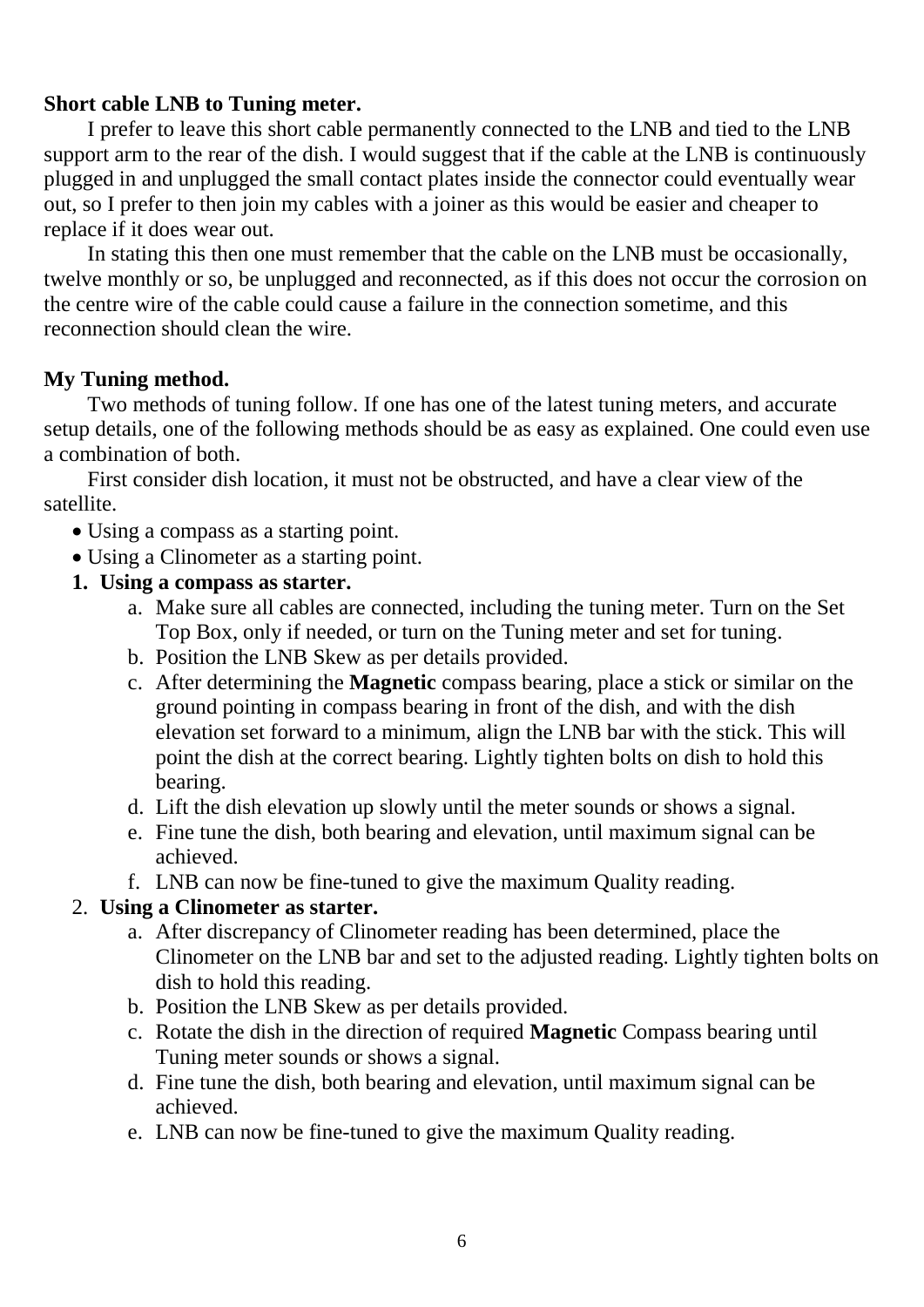## **Short cable LNB to Tuning meter.**

I prefer to leave this short cable permanently connected to the LNB and tied to the LNB support arm to the rear of the dish. I would suggest that if the cable at the LNB is continuously plugged in and unplugged the small contact plates inside the connector could eventually wear out, so I prefer to then join my cables with a joiner as this would be easier and cheaper to replace if it does wear out.

In stating this then one must remember that the cable on the LNB must be occasionally, twelve monthly or so, be unplugged and reconnected, as if this does not occur the corrosion on the centre wire of the cable could cause a failure in the connection sometime, and this reconnection should clean the wire.

# **My Tuning method.**

Two methods of tuning follow. If one has one of the latest tuning meters, and accurate setup details, one of the following methods should be as easy as explained. One could even use a combination of both.

First consider dish location, it must not be obstructed, and have a clear view of the satellite.

- Using a compass as a starting point.
- Using a Clinometer as a starting point.
- **1. Using a compass as starter.**
	- a. Make sure all cables are connected, including the tuning meter. Turn on the Set Top Box, only if needed, or turn on the Tuning meter and set for tuning.
	- b. Position the LNB Skew as per details provided.
	- c. After determining the **Magnetic** compass bearing, place a stick or similar on the ground pointing in compass bearing in front of the dish, and with the dish elevation set forward to a minimum, align the LNB bar with the stick. This will point the dish at the correct bearing. Lightly tighten bolts on dish to hold this bearing.
	- d. Lift the dish elevation up slowly until the meter sounds or shows a signal.
	- e. Fine tune the dish, both bearing and elevation, until maximum signal can be achieved.
	- f. LNB can now be fine-tuned to give the maximum Quality reading.

# 2. **Using a Clinometer as starter.**

- a. After discrepancy of Clinometer reading has been determined, place the Clinometer on the LNB bar and set to the adjusted reading. Lightly tighten bolts on dish to hold this reading.
- b. Position the LNB Skew as per details provided.
- c. Rotate the dish in the direction of required **Magnetic** Compass bearing until Tuning meter sounds or shows a signal.
- d. Fine tune the dish, both bearing and elevation, until maximum signal can be achieved.
- e. LNB can now be fine-tuned to give the maximum Quality reading.